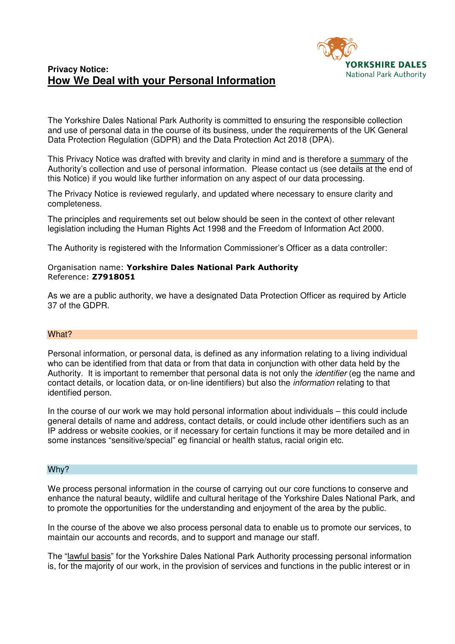# **Privacy Notice: How We Deal with your Personal Information**



The Yorkshire Dales National Park Authority is committed to ensuring the responsible collection and use of personal data in the course of its business, under the requirements of the UK General Data Protection Regulation (GDPR) and the Data Protection Act 2018 (DPA).

This Privacy Notice was drafted with brevity and clarity in mind and is therefore a summary of the Authority's collection and use of personal information. Please contact us (see details at the end of this Notice) if you would like further information on any aspect of our data processing.

The Privacy Notice is reviewed regularly, and updated where necessary to ensure clarity and completeness.

The principles and requirements set out below should be seen in the context of other relevant legislation including the Human Rights Act 1998 and the Freedom of Information Act 2000.

The Authority is registered with the Information Commissioner's Officer as a data controller:

# Organisation name: **Yorkshire Dales National Park Authority** Reference: **Z7918051**

As we are a public authority, we have a designated Data Protection Officer as required by Article 37 of the GDPR.

# What?

Personal information, or personal data, is defined as any information relating to a living individual who can be identified from that data or from that data in conjunction with other data held by the Authority. It is important to remember that personal data is not only the *identifier* (eg the name and contact details, or location data, or on-line identifiers) but also the information relating to that identified person.

In the course of our work we may hold personal information about individuals – this could include general details of name and address, contact details, or could include other identifiers such as an IP address or website cookies, or if necessary for certain functions it may be more detailed and in some instances "sensitive/special" eg financial or health status, racial origin etc.

# Why?

We process personal information in the course of carrying out our core functions to conserve and enhance the natural beauty, wildlife and cultural heritage of the Yorkshire Dales National Park, and to promote the opportunities for the understanding and enjoyment of the area by the public.

In the course of the above we also process personal data to enable us to promote our services, to maintain our accounts and records, and to support and manage our staff.

The "lawful basis" for the Yorkshire Dales National Park Authority processing personal information is, for the majority of our work, in the provision of services and functions in the public interest or in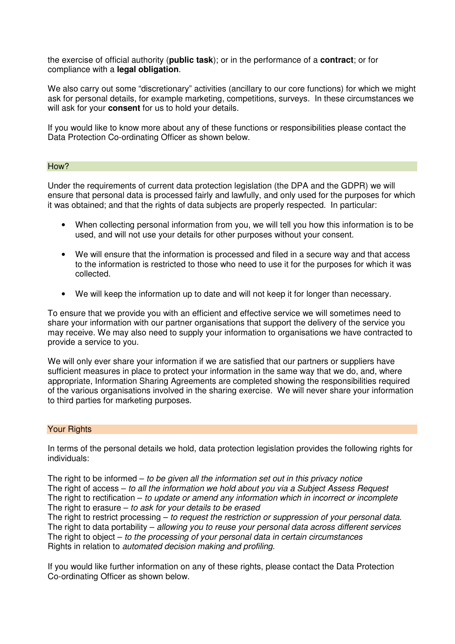the exercise of official authority (**public task**); or in the performance of a **contract**; or for compliance with a **legal obligation**.

We also carry out some "discretionary" activities (ancillary to our core functions) for which we might ask for personal details, for example marketing, competitions, surveys. In these circumstances we will ask for your **consent** for us to hold your details.

If you would like to know more about any of these functions or responsibilities please contact the Data Protection Co-ordinating Officer as shown below.

#### How?

Under the requirements of current data protection legislation (the DPA and the GDPR) we will ensure that personal data is processed fairly and lawfully, and only used for the purposes for which it was obtained; and that the rights of data subjects are properly respected. In particular:

- When collecting personal information from you, we will tell you how this information is to be used, and will not use your details for other purposes without your consent.
- We will ensure that the information is processed and filed in a secure way and that access to the information is restricted to those who need to use it for the purposes for which it was collected.
- We will keep the information up to date and will not keep it for longer than necessary.

To ensure that we provide you with an efficient and effective service we will sometimes need to share your information with our partner organisations that support the delivery of the service you may receive. We may also need to supply your information to organisations we have contracted to provide a service to you.

We will only ever share your information if we are satisfied that our partners or suppliers have sufficient measures in place to protect your information in the same way that we do, and, where appropriate, Information Sharing Agreements are completed showing the responsibilities required of the various organisations involved in the sharing exercise. We will never share your information to third parties for marketing purposes.

#### Your Rights

In terms of the personal details we hold, data protection legislation provides the following rights for individuals:

The right to be informed  $-$  to be given all the information set out in this privacy notice The right of access – to all the information we hold about you via a Subject Assess Request The right to rectification – to update or amend any information which in incorrect or incomplete The right to erasure  $-$  to ask for your details to be erased

The right to restrict processing  $-$  to request the restriction or suppression of your personal data. The right to data portability – allowing you to reuse your personal data across different services The right to object  $-$  to the processing of your personal data in certain circumstances Rights in relation to automated decision making and profiling.

If you would like further information on any of these rights, please contact the Data Protection Co-ordinating Officer as shown below.